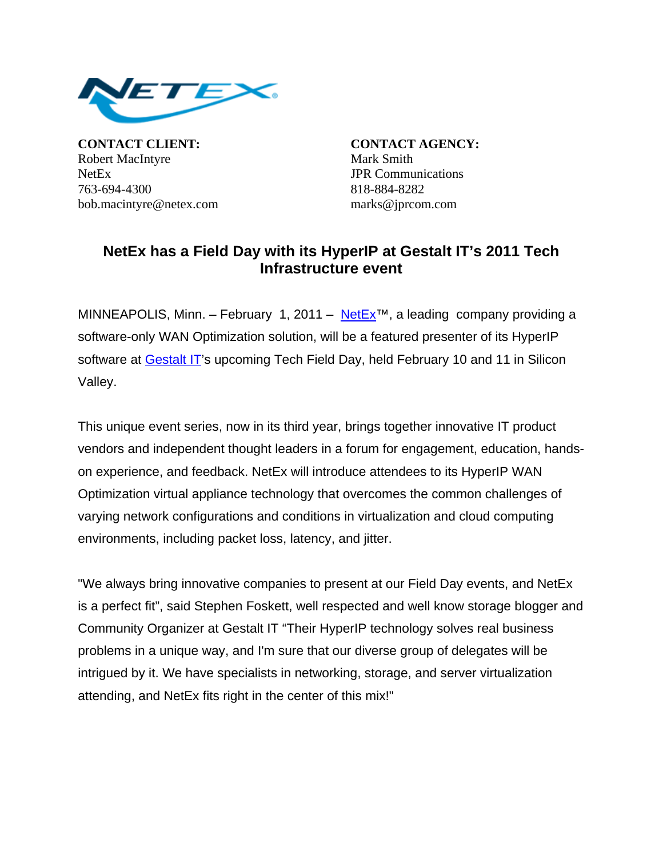

**CONTACT CLIENT: CONTACT AGENCY:** Robert MacIntyre Mark Smith NetEx **JPR** Communications 763-694-4300 818-884-8282 bob.macintyre@netex.com marks@jprcom.com

## **NetEx has a Field Day with its HyperIP at Gestalt IT's 2011 Tech Infrastructure event**

MINNEAPOLIS, Minn. – February 1, 2011 – [NetEx](http://www.netex.com/)<sup>™</sup>, a leading company providing a software-only WAN Optimization solution, will be a featured presenter of its HyperIP software at [Gestalt IT](http://gestaltit.com/)'s upcoming Tech Field Day, held February 10 and 11 in Silicon Valley.

This unique event series, now in its third year, brings together innovative IT product vendors and independent thought leaders in a forum for engagement, education, handson experience, and feedback. NetEx will introduce attendees to its HyperIP WAN Optimization virtual appliance technology that overcomes the common challenges of varying network configurations and conditions in virtualization and cloud computing environments, including packet loss, latency, and jitter.

"We always bring innovative companies to present at our Field Day events, and NetEx is a perfect fit", said Stephen Foskett, well respected and well know storage blogger and Community Organizer at Gestalt IT "Their HyperIP technology solves real business problems in a unique way, and I'm sure that our diverse group of delegates will be intrigued by it. We have specialists in networking, storage, and server virtualization attending, and NetEx fits right in the center of this mix!"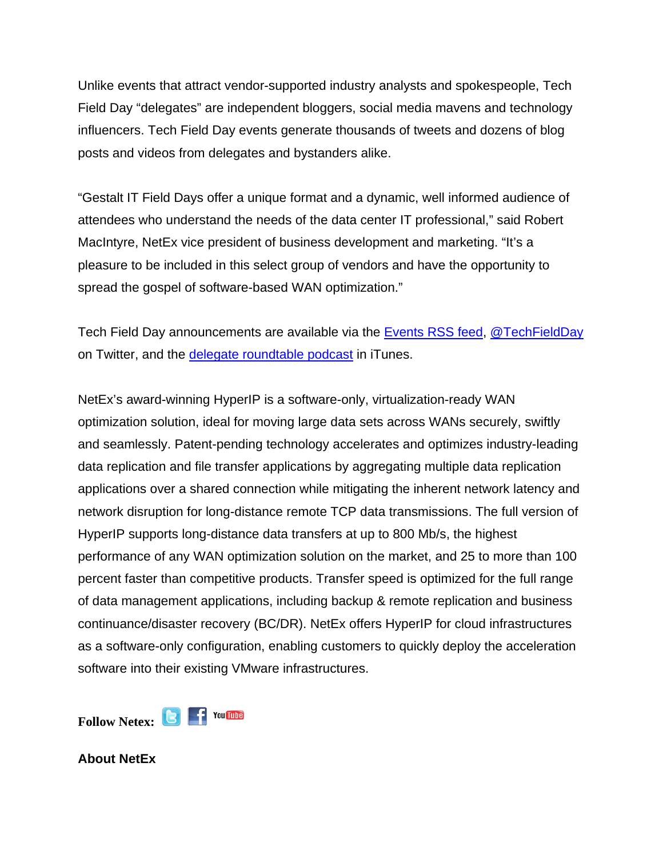Unlike events that attract vendor-supported industry analysts and spokespeople, Tech Field Day "delegates" are independent bloggers, social media mavens and technology influencers. Tech Field Day events generate thousands of tweets and dozens of blog posts and videos from delegates and bystanders alike.

"Gestalt IT Field Days offer a unique format and a dynamic, well informed audience of attendees who understand the needs of the data center IT professional," said Robert MacIntyre, NetEx vice president of business development and marketing. "It's a pleasure to be included in this select group of vendors and have the opportunity to spread the gospel of software-based WAN optimization."

Tech Field Day announcements are available via the [Events RSS feed](http://feeds.gestaltit.com/GestaltIT_Events), [@TechFieldDay](http://twitter.com/TechFieldDay) on Twitter, and the [delegate roundtable podcast](http://itunes.apple.com/us/podcast/id368385265) in iTunes.

NetEx's award-winning HyperIP is a software-only, virtualization-ready WAN optimization solution, ideal for moving large data sets across WANs securely, swiftly and seamlessly. Patent-pending technology accelerates and optimizes industry-leading data replication and file transfer applications by aggregating multiple data replication applications over a shared connection while mitigating the inherent network latency and network disruption for long-distance remote TCP data transmissions. The full version of HyperIP supports long-distance data transfers at up to 800 Mb/s, the highest performance of any WAN optimization solution on the market, and 25 to more than 100 percent faster than competitive products. Transfer speed is optimized for the full range of data management applications, including backup & remote replication and business continuance/disaster recovery (BC/DR). NetEx offers HyperIP for cloud infrastructures as a software-only configuration, enabling customers to quickly deploy the acceleration software into their existing VMware infrastructures.

Follow Netex: **B F** You **Inte** 

**About NetEx**